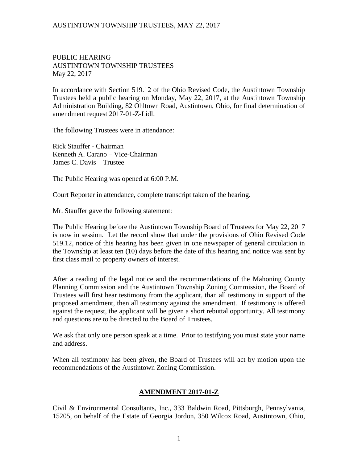PUBLIC HEARING AUSTINTOWN TOWNSHIP TRUSTEES May 22, 2017

In accordance with Section 519.12 of the Ohio Revised Code, the Austintown Township Trustees held a public hearing on Monday, May 22, 2017, at the Austintown Township Administration Building, 82 Ohltown Road, Austintown, Ohio, for final determination of amendment request 2017-01-Z-Lidl.

The following Trustees were in attendance:

Rick Stauffer - Chairman Kenneth A. Carano – Vice-Chairman James C. Davis – Trustee

The Public Hearing was opened at 6:00 P.M.

Court Reporter in attendance, complete transcript taken of the hearing.

Mr. Stauffer gave the following statement:

The Public Hearing before the Austintown Township Board of Trustees for May 22, 2017 is now in session. Let the record show that under the provisions of Ohio Revised Code 519.12, notice of this hearing has been given in one newspaper of general circulation in the Township at least ten (10) days before the date of this hearing and notice was sent by first class mail to property owners of interest.

After a reading of the legal notice and the recommendations of the Mahoning County Planning Commission and the Austintown Township Zoning Commission, the Board of Trustees will first hear testimony from the applicant, than all testimony in support of the proposed amendment, then all testimony against the amendment. If testimony is offered against the request, the applicant will be given a short rebuttal opportunity. All testimony and questions are to be directed to the Board of Trustees.

We ask that only one person speak at a time. Prior to testifying you must state your name and address.

When all testimony has been given, the Board of Trustees will act by motion upon the recommendations of the Austintown Zoning Commission.

#### **AMENDMENT 2017-01-Z**

Civil & Environmental Consultants, Inc., 333 Baldwin Road, Pittsburgh, Pennsylvania, 15205, on behalf of the Estate of Georgia Jordon, 350 Wilcox Road, Austintown, Ohio,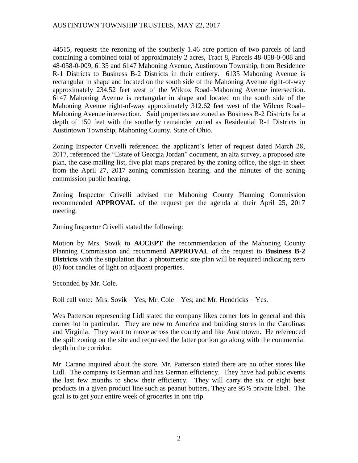44515, requests the rezoning of the southerly 1.46 acre portion of two parcels of land containing a combined total of approximately 2 acres, Tract 8, Parcels 48-058-0-008 and 48-058-0-009, 6135 and 6147 Mahoning Avenue, Austintown Township, from Residence R-1 Districts to Business B-2 Districts in their entirety. 6135 Mahoning Avenue is rectangular in shape and located on the south side of the Mahoning Avenue right-of-way approximately 234.52 feet west of the Wilcox Road–Mahoning Avenue intersection. 6147 Mahoning Avenue is rectangular in shape and located on the south side of the Mahoning Avenue right-of-way approximately 312.62 feet west of the Wilcox Road– Mahoning Avenue intersection. Said properties are zoned as Business B-2 Districts for a depth of 150 feet with the southerly remainder zoned as Residential R-1 Districts in Austintown Township, Mahoning County, State of Ohio.

Zoning Inspector Crivelli referenced the applicant's letter of request dated March 28, 2017, referenced the "Estate of Georgia Jordan" document, an alta survey, a proposed site plan, the case mailing list, five plat maps prepared by the zoning office, the sign-in sheet from the April 27, 2017 zoning commission hearing, and the minutes of the zoning commission public hearing.

Zoning Inspector Crivelli advised the Mahoning County Planning Commission recommended **APPROVAL** of the request per the agenda at their April 25, 2017 meeting.

Zoning Inspector Crivelli stated the following:

Motion by Mrs. Sovik to **ACCEPT** the recommendation of the Mahoning County Planning Commission and recommend **APPROVAL** of the request to **Business B-2 Districts** with the stipulation that a photometric site plan will be required indicating zero (0) foot candles of light on adjacent properties.

Seconded by Mr. Cole.

Roll call vote: Mrs. Sovik – Yes; Mr. Cole – Yes; and Mr. Hendricks – Yes.

Wes Patterson representing Lidl stated the company likes corner lots in general and this corner lot in particular. They are new to America and building stores in the Carolinas and Virginia. They want to move across the county and like Austintown. He referenced the spilt zoning on the site and requested the latter portion go along with the commercial depth in the corridor.

Mr. Carano inquired about the store. Mr. Patterson stated there are no other stores like Lidl. The company is German and has German efficiency. They have had public events the last few months to show their efficiency. They will carry the six or eight best products in a given product line such as peanut butters. They are 95% private label. The goal is to get your entire week of groceries in one trip.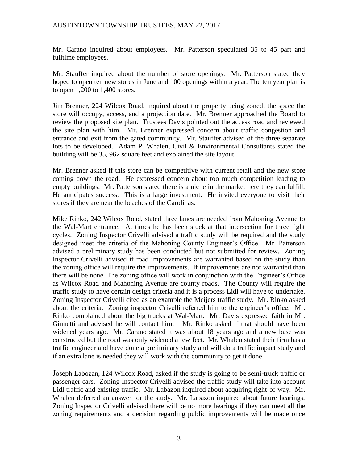Mr. Carano inquired about employees. Mr. Patterson speculated 35 to 45 part and fulltime employees.

Mr. Stauffer inquired about the number of store openings. Mr. Patterson stated they hoped to open ten new stores in June and 100 openings within a year. The ten year plan is to open 1,200 to 1,400 stores.

Jim Brenner, 224 Wilcox Road, inquired about the property being zoned, the space the store will occupy, access, and a projection date. Mr. Brenner approached the Board to review the proposed site plan. Trustees Davis pointed out the access road and reviewed the site plan with him. Mr. Brenner expressed concern about traffic congestion and entrance and exit from the gated community. Mr. Stauffer advised of the three separate lots to be developed. Adam P. Whalen, Civil & Environmental Consultants stated the building will be 35, 962 square feet and explained the site layout.

Mr. Brenner asked if this store can be competitive with current retail and the new store coming down the road. He expressed concern about too much competition leading to empty buildings. Mr. Patterson stated there is a niche in the market here they can fulfill. He anticipates success. This is a large investment. He invited everyone to visit their stores if they are near the beaches of the Carolinas.

Mike Rinko, 242 Wilcox Road, stated three lanes are needed from Mahoning Avenue to the Wal-Mart entrance. At times he has been stuck at that intersection for three light cycles. Zoning Inspector Crivelli advised a traffic study will be required and the study designed meet the criteria of the Mahoning County Engineer's Office. Mr. Patterson advised a preliminary study has been conducted but not submitted for review. Zoning Inspector Crivelli advised if road improvements are warranted based on the study than the zoning office will require the improvements. If improvements are not warranted than there will be none. The zoning office will work in conjunction with the Engineer's Office as Wilcox Road and Mahoning Avenue are county roads. The County will require the traffic study to have certain design criteria and it is a process Lidl will have to undertake. Zoning Inspector Crivelli cited as an example the Meijers traffic study. Mr. Rinko asked about the criteria. Zoning inspector Crivelli referred him to the engineer's office. Mr. Rinko complained about the big trucks at Wal-Mart. Mr. Davis expressed faith in Mr. Ginnetti and advised he will contact him. Mr. Rinko asked if that should have been widened years ago. Mr. Carano stated it was about 18 years ago and a new base was constructed but the road was only widened a few feet. Mr. Whalen stated their firm has a traffic engineer and have done a preliminary study and will do a traffic impact study and if an extra lane is needed they will work with the community to get it done.

Joseph Labozan, 124 Wilcox Road, asked if the study is going to be semi-truck traffic or passenger cars. Zoning Inspector Crivelli advised the traffic study will take into account Lidl traffic and existing traffic. Mr. Labazon inquired about acquiring right-of-way. Mr. Whalen deferred an answer for the study. Mr. Labazon inquired about future hearings. Zoning Inspector Crivelli advised there will be no more hearings if they can meet all the zoning requirements and a decision regarding public improvements will be made once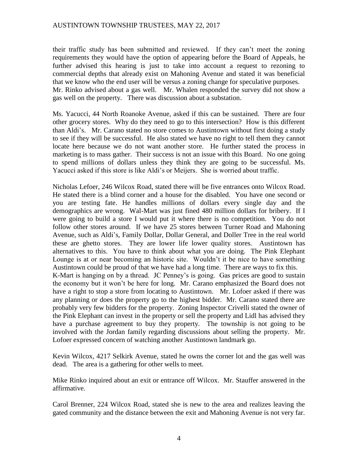their traffic study has been submitted and reviewed. If they can't meet the zoning requirements they would have the option of appearing before the Board of Appeals, he further advised this hearing is just to take into account a request to rezoning to commercial depths that already exist on Mahoning Avenue and stated it was beneficial that we know who the end user will be versus a zoning change for speculative purposes. Mr. Rinko advised about a gas well. Mr. Whalen responded the survey did not show a gas well on the property. There was discussion about a substation.

Ms. Yacucci, 44 North Roanoke Avenue, asked if this can be sustained. There are four other grocery stores. Why do they need to go to this intersection? How is this different than Aldi's. Mr. Carano stated no store comes to Austintown without first doing a study to see if they will be successful. He also stated we have no right to tell them they cannot locate here because we do not want another store. He further stated the process in marketing is to mass gather. Their success is not an issue with this Board. No one going to spend millions of dollars unless they think they are going to be successful. Ms. Yacucci asked if this store is like Aldi's or Meijers. She is worried about traffic.

Nicholas Lefoer, 246 Wilcox Road, stated there will be five entrances onto Wilcox Road. He stated there is a blind corner and a house for the disabled. You have one second or you are testing fate. He handles millions of dollars every single day and the demographics are wrong. Wal-Mart was just fined 480 million dollars for bribery. If I were going to build a store I would put it where there is no competition. You do not follow other stores around. If we have 25 stores between Turner Road and Mahoning Avenue, such as Aldi's, Family Dollar, Dollar General, and Doller Tree in the real world these are ghetto stores. They are lower life lower quality stores. Austintown has alternatives to this. You have to think about what you are doing. The Pink Elephant Lounge is at or near becoming an historic site. Wouldn't it be nice to have something Austintown could be proud of that we have had a long time. There are ways to fix this. K-Mart is hanging on by a thread. JC Penney's is going. Gas prices are good to sustain the economy but it won't be here for long. Mr. Carano emphasized the Board does not have a right to stop a store from locating to Austintown. Mr. Lofoer asked if there was any planning or does the property go to the highest bidder. Mr. Carano stated there are probably very few bidders for the property. Zoning Inspector Crivelli stated the owner of the Pink Elephant can invest in the property or sell the property and Lidl has advised they have a purchase agreement to buy they property. The township is not going to be involved with the Jordan family regarding discussions about selling the property. Mr. Lofoer expressed concern of watching another Austintown landmark go.

Kevin Wilcox, 4217 Selkirk Avenue, stated he owns the corner lot and the gas well was dead. The area is a gathering for other wells to meet.

Mike Rinko inquired about an exit or entrance off Wilcox. Mr. Stauffer answered in the affirmative.

Carol Brenner, 224 Wilcox Road, stated she is new to the area and realizes leaving the gated community and the distance between the exit and Mahoning Avenue is not very far.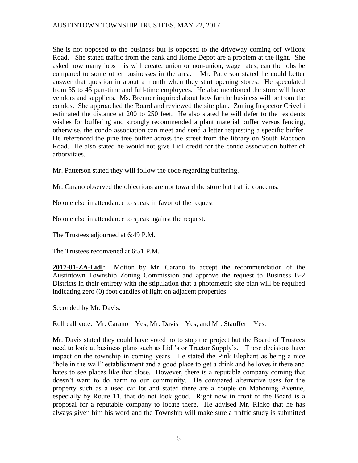She is not opposed to the business but is opposed to the driveway coming off Wilcox Road. She stated traffic from the bank and Home Depot are a problem at the light. She asked how many jobs this will create, union or non-union, wage rates, can the jobs be compared to some other businesses in the area. Mr. Patterson stated he could better answer that question in about a month when they start opening stores. He speculated from 35 to 45 part-time and full-time employees. He also mentioned the store will have vendors and suppliers. Ms. Brenner inquired about how far the business will be from the condos. She approached the Board and reviewed the site plan. Zoning Inspector Crivelli estimated the distance at 200 to 250 feet. He also stated he will defer to the residents wishes for buffering and strongly recommended a plant material buffer versus fencing, otherwise, the condo association can meet and send a letter requesting a specific buffer. He referenced the pine tree buffer across the street from the library on South Raccoon Road. He also stated he would not give Lidl credit for the condo association buffer of arborvitaes.

Mr. Patterson stated they will follow the code regarding buffering.

Mr. Carano observed the objections are not toward the store but traffic concerns.

No one else in attendance to speak in favor of the request.

No one else in attendance to speak against the request.

The Trustees adjourned at 6:49 P.M.

The Trustees reconvened at 6:51 P.M.

**2017-01-ZA-Lidl:** Motion by Mr. Carano to accept the recommendation of the Austintown Township Zoning Commission and approve the request to Business B-2 Districts in their entirety with the stipulation that a photometric site plan will be required indicating zero (0) foot candles of light on adjacent properties.

Seconded by Mr. Davis.

Roll call vote: Mr. Carano – Yes; Mr. Davis – Yes; and Mr. Stauffer – Yes.

Mr. Davis stated they could have voted no to stop the project but the Board of Trustees need to look at business plans such as Lidl's or Tractor Supply's. These decisions have impact on the township in coming years. He stated the Pink Elephant as being a nice "hole in the wall" establishment and a good place to get a drink and he loves it there and hates to see places like that close. However, there is a reputable company coming that doesn't want to do harm to our community. He compared alternative uses for the property such as a used car lot and stated there are a couple on Mahoning Avenue, especially by Route 11, that do not look good. Right now in front of the Board is a proposal for a reputable company to locate there. He advised Mr. Rinko that he has always given him his word and the Township will make sure a traffic study is submitted